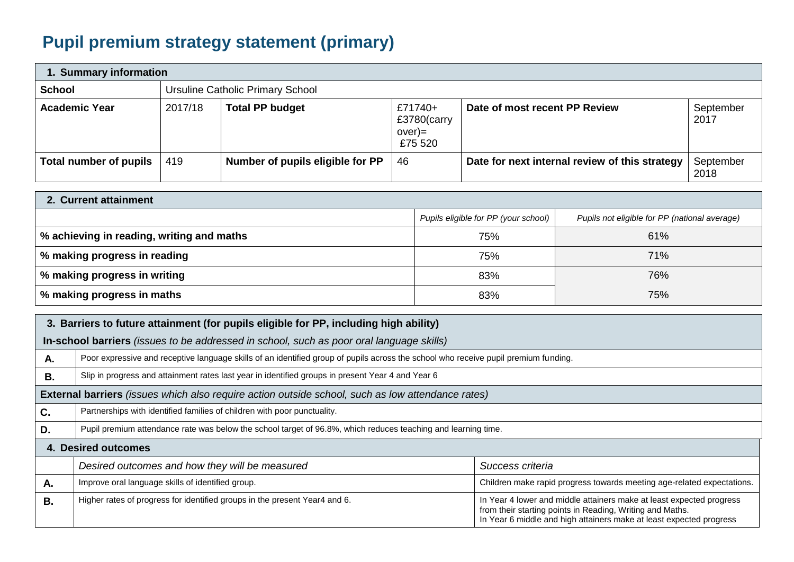## **Pupil premium strategy statement (primary)**

| 1. Summary information        |         |                                  |                                             |                                                |                   |  |
|-------------------------------|---------|----------------------------------|---------------------------------------------|------------------------------------------------|-------------------|--|
| <b>School</b>                 |         | Ursuline Catholic Primary School |                                             |                                                |                   |  |
| <b>Academic Year</b>          | 2017/18 | <b>Total PP budget</b>           | £71740+<br>£3780(carry<br>over)=<br>£75 520 | Date of most recent PP Review                  | September<br>2017 |  |
| <b>Total number of pupils</b> | 419     | Number of pupils eligible for PP | 46                                          | Date for next internal review of this strategy | September<br>2018 |  |

| 2. Current attainment                     |                                      |                                               |  |  |  |
|-------------------------------------------|--------------------------------------|-----------------------------------------------|--|--|--|
|                                           | Pupils eligible for PP (your school) | Pupils not eligible for PP (national average) |  |  |  |
| % achieving in reading, writing and maths | 75%                                  | 61%                                           |  |  |  |
| % making progress in reading              | 75%                                  | 71%                                           |  |  |  |
| % making progress in writing              | 83%                                  | 76%                                           |  |  |  |
| % making progress in maths                | 83%                                  | 75%                                           |  |  |  |

| 3. Barriers to future attainment (for pupils eligible for PP, including high ability) |                                                                                                               |                                                                                                                                                                                                          |  |  |  |
|---------------------------------------------------------------------------------------|---------------------------------------------------------------------------------------------------------------|----------------------------------------------------------------------------------------------------------------------------------------------------------------------------------------------------------|--|--|--|
|                                                                                       | In-school barriers (issues to be addressed in school, such as poor oral language skills)                      |                                                                                                                                                                                                          |  |  |  |
| А.                                                                                    |                                                                                                               | Poor expressive and receptive language skills of an identified group of pupils across the school who receive pupil premium funding.                                                                      |  |  |  |
| В.                                                                                    | Slip in progress and attainment rates last year in identified groups in present Year 4 and Year 6             |                                                                                                                                                                                                          |  |  |  |
|                                                                                       | <b>External barriers</b> (issues which also require action outside school, such as low attendance rates)      |                                                                                                                                                                                                          |  |  |  |
| C.                                                                                    | Partnerships with identified families of children with poor punctuality.                                      |                                                                                                                                                                                                          |  |  |  |
| D.                                                                                    | Pupil premium attendance rate was below the school target of 96.8%, which reduces teaching and learning time. |                                                                                                                                                                                                          |  |  |  |
| <b>4. Desired outcomes</b>                                                            |                                                                                                               |                                                                                                                                                                                                          |  |  |  |
|                                                                                       | Desired outcomes and how they will be measured                                                                | Success criteria                                                                                                                                                                                         |  |  |  |
| Α.                                                                                    | Improve oral language skills of identified group.                                                             | Children make rapid progress towards meeting age-related expectations.                                                                                                                                   |  |  |  |
| В.                                                                                    | Higher rates of progress for identified groups in the present Year4 and 6.                                    | In Year 4 lower and middle attainers make at least expected progress<br>from their starting points in Reading, Writing and Maths.<br>In Year 6 middle and high attainers make at least expected progress |  |  |  |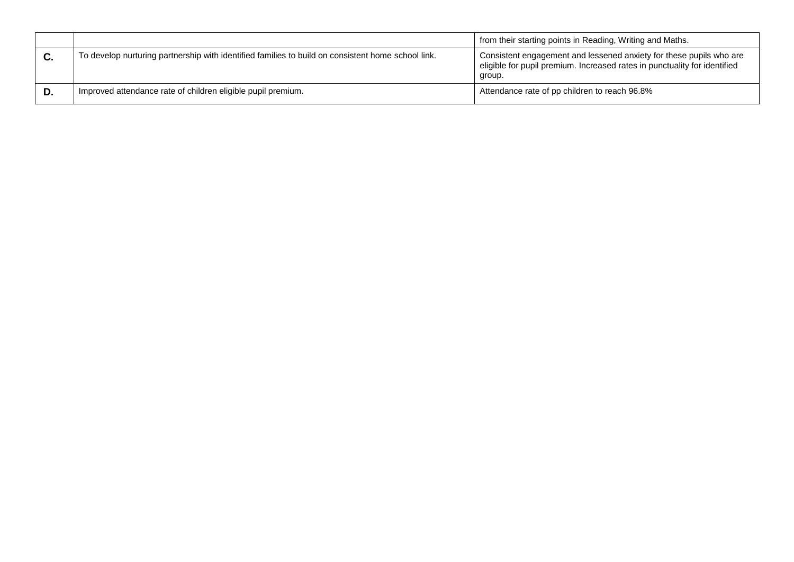|    |                                                                                                    | from their starting points in Reading, Writing and Maths.                                                                                                  |
|----|----------------------------------------------------------------------------------------------------|------------------------------------------------------------------------------------------------------------------------------------------------------------|
| C. | To develop nurturing partnership with identified families to build on consistent home school link. | Consistent engagement and lessened anxiety for these pupils who are<br>eligible for pupil premium. Increased rates in punctuality for identified<br>group. |
| D. | Improved attendance rate of children eligible pupil premium.                                       | Attendance rate of pp children to reach 96.8%                                                                                                              |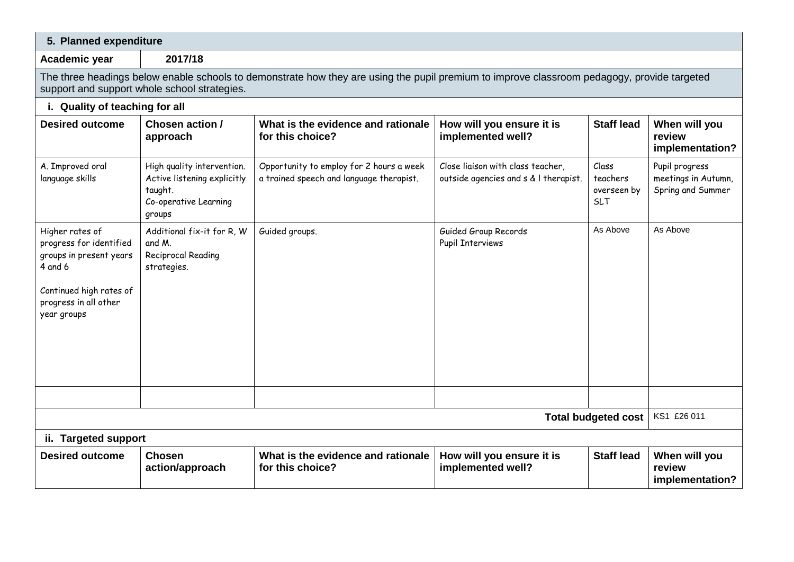| 5. Planned expenditure                                                                                                                                                                      |                                                                                                         |                                                                                      |                                                                            |                                                |                                                            |  |
|---------------------------------------------------------------------------------------------------------------------------------------------------------------------------------------------|---------------------------------------------------------------------------------------------------------|--------------------------------------------------------------------------------------|----------------------------------------------------------------------------|------------------------------------------------|------------------------------------------------------------|--|
| Academic year                                                                                                                                                                               | 2017/18                                                                                                 |                                                                                      |                                                                            |                                                |                                                            |  |
| The three headings below enable schools to demonstrate how they are using the pupil premium to improve classroom pedagogy, provide targeted<br>support and support whole school strategies. |                                                                                                         |                                                                                      |                                                                            |                                                |                                                            |  |
| i. Quality of teaching for all                                                                                                                                                              |                                                                                                         |                                                                                      |                                                                            |                                                |                                                            |  |
| <b>Desired outcome</b>                                                                                                                                                                      | Chosen action /<br>approach                                                                             | What is the evidence and rationale<br>for this choice?                               | How will you ensure it is<br>implemented well?                             | <b>Staff lead</b>                              | When will you<br>review<br>implementation?                 |  |
| A. Improved oral<br>language skills                                                                                                                                                         | High quality intervention.<br>Active listening explicitly<br>taught.<br>Co-operative Learning<br>groups | Opportunity to employ for 2 hours a week<br>a trained speech and language therapist. | Close liaison with class teacher,<br>outside agencies and s & I therapist. | Class<br>teachers<br>overseen by<br><b>SLT</b> | Pupil progress<br>meetings in Autumn,<br>Spring and Summer |  |
| Higher rates of<br>progress for identified<br>groups in present years<br>4 and 6<br>Continued high rates of<br>progress in all other<br>year groups                                         | Additional fix-it for R, W<br>and M.<br>Reciprocal Reading<br>strategies.                               | Guided groups.                                                                       | Guided Group Records<br><b>Pupil Interviews</b>                            | As Above                                       | As Above                                                   |  |
|                                                                                                                                                                                             |                                                                                                         |                                                                                      |                                                                            |                                                |                                                            |  |
| <b>Total budgeted cost</b>                                                                                                                                                                  |                                                                                                         |                                                                                      |                                                                            |                                                |                                                            |  |
| ii. Targeted support                                                                                                                                                                        |                                                                                                         |                                                                                      |                                                                            |                                                |                                                            |  |
| <b>Desired outcome</b>                                                                                                                                                                      | <b>Chosen</b><br>action/approach                                                                        | What is the evidence and rationale<br>for this choice?                               | How will you ensure it is<br>implemented well?                             | <b>Staff lead</b>                              | When will you<br>review<br>implementation?                 |  |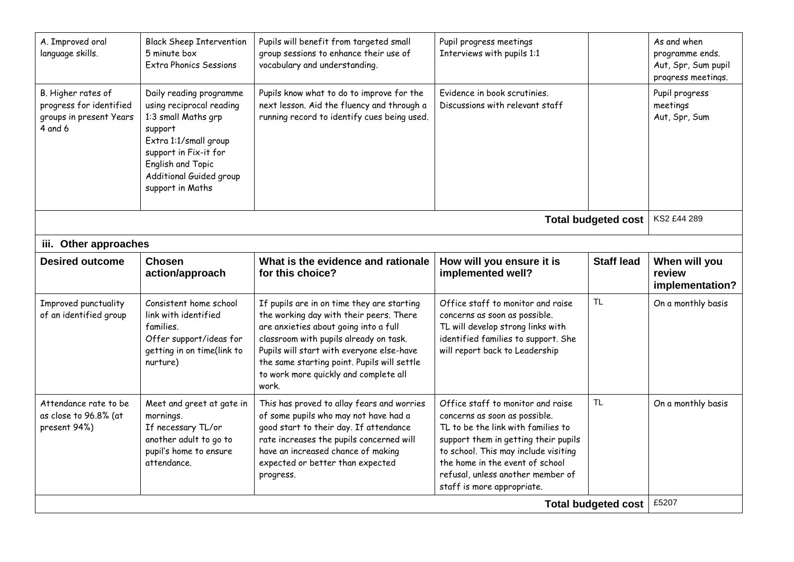| A. Improved oral<br>language skills.                                                | <b>Black Sheep Intervention</b><br>5 minute box<br><b>Extra Phonics Sessions</b>                                                                                                                            | Pupils will benefit from targeted small<br>group sessions to enhance their use of<br>vocabulary and understanding.                                                                                                                                                                                                     | Pupil progress meetings<br>Interviews with pupils 1:1                                                                                                                                                                                                                                          |                   | As and when<br>programme ends.<br>Aut, Spr, Sum pupil<br>progress meetings. |  |
|-------------------------------------------------------------------------------------|-------------------------------------------------------------------------------------------------------------------------------------------------------------------------------------------------------------|------------------------------------------------------------------------------------------------------------------------------------------------------------------------------------------------------------------------------------------------------------------------------------------------------------------------|------------------------------------------------------------------------------------------------------------------------------------------------------------------------------------------------------------------------------------------------------------------------------------------------|-------------------|-----------------------------------------------------------------------------|--|
| B. Higher rates of<br>progress for identified<br>groups in present Years<br>4 and 6 | Daily reading programme<br>using reciprocal reading<br>1:3 small Maths grp<br>support<br>Extra 1:1/small group<br>support in Fix-it for<br>English and Topic<br>Additional Guided group<br>support in Maths | Pupils know what to do to improve for the<br>next lesson. Aid the fluency and through a<br>running record to identify cues being used.                                                                                                                                                                                 | Evidence in book scrutinies.<br>Discussions with relevant staff                                                                                                                                                                                                                                |                   | Pupil progress<br>meetings<br>Aut, Spr, Sum                                 |  |
| KS2 £44 289<br><b>Total budgeted cost</b>                                           |                                                                                                                                                                                                             |                                                                                                                                                                                                                                                                                                                        |                                                                                                                                                                                                                                                                                                |                   |                                                                             |  |
| iii. Other approaches                                                               |                                                                                                                                                                                                             |                                                                                                                                                                                                                                                                                                                        |                                                                                                                                                                                                                                                                                                |                   |                                                                             |  |
| <b>Desired outcome</b>                                                              | <b>Chosen</b><br>action/approach                                                                                                                                                                            | What is the evidence and rationale<br>for this choice?                                                                                                                                                                                                                                                                 | How will you ensure it is<br>implemented well?                                                                                                                                                                                                                                                 | <b>Staff lead</b> | When will you<br>review<br>implementation?                                  |  |
| Improved punctuality<br>of an identified group                                      | Consistent home school<br>link with identified<br>families.<br>Offer support/ideas for<br>getting in on time(link to<br>nurture)                                                                            | If pupils are in on time they are starting<br>the working day with their peers. There<br>are anxieties about going into a full<br>classroom with pupils already on task.<br>Pupils will start with everyone else-have<br>the same starting point. Pupils will settle<br>to work more quickly and complete all<br>work. | Office staff to monitor and raise<br>concerns as soon as possible.<br>TL will develop strong links with<br>identified families to support. She<br>will report back to Leadership                                                                                                               | <b>TL</b>         | On a monthly basis                                                          |  |
| Attendance rate to be<br>as close to 96.8% (at<br>present 94%)                      | Meet and greet at gate in<br>mornings.<br>If necessary TL/or<br>another adult to go to<br>pupil's home to ensure<br>attendance.                                                                             | This has proved to allay fears and worries<br>of some pupils who may not have had a<br>good start to their day. If attendance<br>rate increases the pupils concerned will<br>have an increased chance of making<br>expected or better than expected<br>progress.                                                       | Office staff to monitor and raise<br>concerns as soon as possible.<br>TL to be the link with families to<br>support them in getting their pupils<br>to school. This may include visiting<br>the home in the event of school<br>refusal, unless another member of<br>staff is more appropriate. | <b>TL</b>         | On a monthly basis                                                          |  |
| <b>Total budgeted cost</b>                                                          |                                                                                                                                                                                                             |                                                                                                                                                                                                                                                                                                                        |                                                                                                                                                                                                                                                                                                |                   | £5207                                                                       |  |